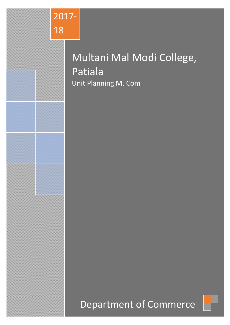

# Multani Mal Modi College, Patiala Unit Planning M. Com

# Department of Commerce

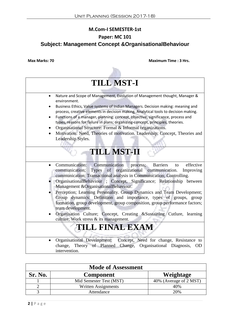### **M.Com-I SEMESTER-1st**

### **Paper: MC 101**

### **Subject: Management Concept &OrganisationalBehaviour**



| <b>Mode of Assessment</b> |                         |                        |  |
|---------------------------|-------------------------|------------------------|--|
| Sr. No.                   | <b>Component</b>        | Weightage              |  |
|                           | Mid Semester Test (MST) | 40% (Average of 2 MST) |  |
|                           | Written Assignments     | 40%                    |  |
|                           | Attendance              | 20%                    |  |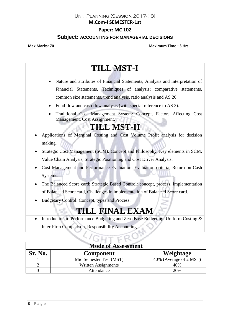#### **M.Com-I SEMESTER-1st**

### **Paper: MC 102**

### **Subject: ACCOUNTING FOR MANAGERIAL DECISIONS**

**Max Marks: 70 Maximum Time : 3 Hrs.**

## **TILL MST-I** Nature and attributes of Financial Statements, Analysis and interpretation of Financial Statements, Techniques of analysis; comparative statements, common size statements, trend analysis, ratio analysis and AS 20.

- Fund flow and cash flow analysis (with special reference to AS 3).
- Traditional Cost Management System: Concept, Factors Affecting Cost Management, Cost Assignment.

## **TILL MST-II**

- Applications of Marginal Costing and Cost Volume Profit analysis for decision making.
- Strategic Cost Management (SCM): Concept and Philosophy, Key elements in SCM, Value Chain Analysis, Strategic Positioning and Cost Driver Analysis.
- Cost Management and Performance Evaluation: Evaluation criteria; Return on Cash Systems.
- The Balanced Score card; Strategic Based Control: concept, process, implementation of Balanced Score card, Challenges in implementation of Balanced Score card.
- Budgetary Control: Concept, types and Process.

## **TILL FINAL EXAM**

 Introduction to Performance Budgeting and Zero Base Budgeting. Uniform Costing & Inter-Firm Comparison, Responsibility Accounting.

| <b>Mode of Assessment</b> |                         |                        |
|---------------------------|-------------------------|------------------------|
| Sr. No.                   | <b>Component</b>        | Weightage              |
|                           | Mid Semester Test (MST) | 40% (Average of 2 MST) |
|                           | Written Assignments     | 40%                    |
|                           | Attendance              | 20%                    |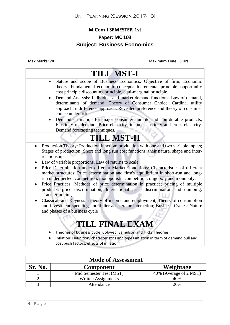## **M.Com-I SEMESTER-1st Paper: MC 103 Subject: Business Economics**

**Max Marks: 70 Maximum Time : 3 Hrs.**

### **TILL MST-I** Nature and scope of Business Economics: Objective of firm; Economic theory; Fundamental economic concepts: Incremental principle, opportunity cost principle discounting principle, equi-marginal principle. Demand Analysis: Individual and market demand functions; Law of demand, determinants of demand; Theory of Consumer Choice: Cardinal utility approach, indifference approach, Revealed preference and theory of consumer choice under risk. Demand estimation for major consumer durable and non-durable products; Elasticity of demand: Price elasticity, income elasticity and cross elasticity. Demand forecasting techniques. **TILL MST-II** • Production Theory: Production function: production with one and two variable inputs; Stages of production; Short and long run cost functions: their nature, shape and interrelationship. Law of variable proportions; Law of returns to scale. Price Determination under different Market Conditions: Characteristics of different market structures; Price determination and firm's equilibrium in short-run and longrun under perfect competition, monopolistic competition, oligopoly and monopoly. • Price Practices: Methods of price determination in practice; pricing of multiple products; price discrimination; International price discrimination and dumping: Transfer pricing. Classical, and Keynesian theory of income and employment, Theory of consumption and investment spending, multiplier-accelerator interaction; Business Cycles: Nature and phases of a business cycle **TILL FINAL EXAM** Theories of business cycle: Cobweb, Samulson and Hicks Theories. Inflation: Definition, characteristics and types inflation in term of demand pull and cost push factors, effects of inflation.

| <b>Mode of Assessment</b> |                         |                        |  |
|---------------------------|-------------------------|------------------------|--|
| Sr. No.                   | <b>Component</b>        | Weightage              |  |
|                           | Mid Semester Test (MST) | 40% (Average of 2 MST) |  |
|                           | Written Assignments     | 40%                    |  |
|                           | Attendance              | 20%                    |  |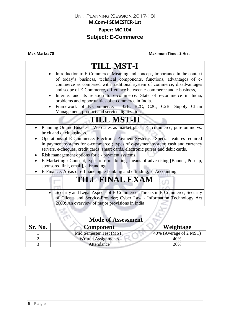#### **M.Com-I SEMESTER-1st**

### **Paper: MC 104**

## **Subject: E-Commerce**

| <b>TILL MST-I</b>                                                                                                                                                                                                                                                                                                                                                                                                                                                                                                                                                                                                                                   |
|-----------------------------------------------------------------------------------------------------------------------------------------------------------------------------------------------------------------------------------------------------------------------------------------------------------------------------------------------------------------------------------------------------------------------------------------------------------------------------------------------------------------------------------------------------------------------------------------------------------------------------------------------------|
| Introduction to E-Commerce: Meaning and concept, Importance in the context<br>of today's business, technical components, functions, advantages of e-<br>commerce as compared with traditional system of commerce, disadvantages<br>and scope of E-Commerce, difference between e-commerce and e-business,<br>Internet and its relation to e-commerce. State of e-commerce in India,<br>problems and opportunities of e-commerce in India.<br>Framework of E-Commerce: B2B, B2C, C2C, C2B. Supply Chain<br>Management, product and service digitization                                                                                              |
| <b>TILL MST-II</b>                                                                                                                                                                                                                                                                                                                                                                                                                                                                                                                                                                                                                                  |
| Planning Online-Business: Web sites as market place, E -commerce, pure online vs.<br>brick and click business.<br>Operations of E Commerce: Electronic Payment Systems : Special features required<br>in payment systems for e-commerce ; types of e-payment system; cash and currency<br>servers, e-cheques, credit cards, smart cards, electronic purses and debit cards.<br>Risk management options for e - payment systems.<br>E-Marketing: Concept, types of e-marketing, means of advertising [Banner, Pop-up,<br>$\bullet$<br>sponsored link, email], e-branding.<br>E-Finance: Areas of e-financing: e-banking and e-trading; E-Accounting. |
| <b>TILL FINAL EXAM</b>                                                                                                                                                                                                                                                                                                                                                                                                                                                                                                                                                                                                                              |
| Security and Legal Aspects of E-Commerce: Threats in E-Commerce, Security<br>of Clients and Service-Provider; Cyber Law - Information Technology Act<br>2000: An overview of major provisions in India                                                                                                                                                                                                                                                                                                                                                                                                                                              |
|                                                                                                                                                                                                                                                                                                                                                                                                                                                                                                                                                                                                                                                     |

| <b>Mode of Assessment</b> |                            |                        |
|---------------------------|----------------------------|------------------------|
| Sr. No.                   | <b>Component</b>           | Weightage              |
|                           | Mid Semester Test (MST)    | 40% (Average of 2 MST) |
|                           | <b>Written Assignments</b> | 40%                    |
|                           | Attendance                 | 20%                    |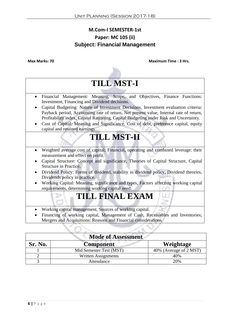### **M.Com-I SEMESTER-1st Paper: MC 105 (ii) Subject: Financial Management**



| <b>Mode of Assessment</b>                |                         |                        |  |
|------------------------------------------|-------------------------|------------------------|--|
| Sr. No.<br>Weightage<br><b>Component</b> |                         |                        |  |
|                                          | Mid Semester Test (MST) | 40% (Average of 2 MST) |  |
|                                          | Written Assignments     | 40%                    |  |
|                                          | Attendance              | 20%                    |  |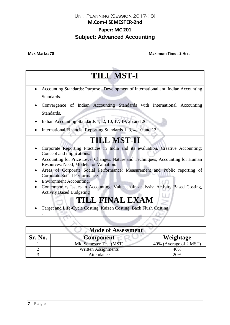### **M.Com-I SEMESTER-2nd Paper: MC 201 Subject: Advanced Accounting**

**Max Marks: 70 Maximum Time : 3 Hrs.**

## **TILL MST-I** Accounting Standards: Purpose , Development of International and Indian Accounting Standards. Convergence of Indian Accounting Standards with International Accounting Standards.  $\bullet$  Indian Accounting Standards 1, 2, 10, 17, 19, 25 and 26. • International Financial Reporting Standards 1, 3, 4, 10 and 12. **TILL MST-II** Corporate Reporting Practices in India and its evaluation. Creative Accounting: Concept and implications. Accounting for Price Level Changes: Nature and Techniques; Accounting for Human Resources: Need, Models for Valuation. Areas of Corporate Social Performance: Measurement and Public reporting of Corporate Social Performance. • Environment Accounting. Contemporary Issues in Accounting: Value chain analysis; Activity Based Costing, Activity Based Budgeting **TILL FINAL EXAM** Target and Life-Cycle Costing. Kaizen Costing, Back Flush Costing. .

| <b>Mode of Assessment</b>                       |                            |                        |  |
|-------------------------------------------------|----------------------------|------------------------|--|
| <b>Sr. No.</b><br><b>Component</b><br>Weightage |                            |                        |  |
|                                                 | Mid Semester Test (MST)    | 40% (Average of 2 MST) |  |
|                                                 | <b>Written Assignments</b> | 40%                    |  |
|                                                 | Attendance                 | 20%                    |  |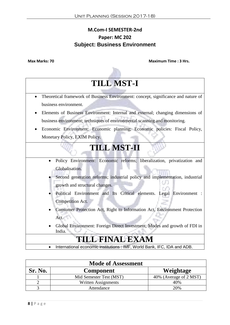## **M.Com-I SEMESTER-2nd Paper: MC 202 Subject: Business Environment**



| <b>Mode of Assessment</b> |                         |                        |
|---------------------------|-------------------------|------------------------|
| Sr. No.                   | <b>Component</b>        | Weightage              |
|                           | Mid Semester Test (MST) | 40% (Average of 2 MST) |
|                           | Written Assignments     | 40%                    |
|                           | Attendance              | 20%                    |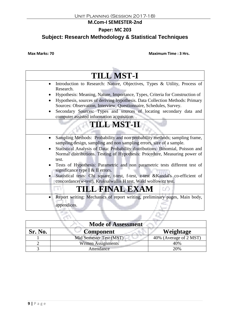#### **M.Com-I SEMESTER-2nd**

### **Paper: MC 203**

## **Subject: Research Methodology & Statistical Techniques**

| <b>TILL MST-I</b>                                                                                                                                                                                                                  |
|------------------------------------------------------------------------------------------------------------------------------------------------------------------------------------------------------------------------------------|
| Introduction to Research: Nature, Objectives, Types & Utility, Process of<br>Research.                                                                                                                                             |
| Hypothesis: Meaning, Nature, Importance, Types, Criteria for Construction of<br>Hypothesis, sources of deriving hypothesis. Data Collection Methods: Primary<br>Sources: Observation, Interview, Questionnaire, Schedules, Survey. |
| Secondary Sources: Types and sources of locating secondary data and<br>computer assisted information acquisition                                                                                                                   |
| <b>TILL MST-II</b>                                                                                                                                                                                                                 |
| Sampling Methods: Probability and non probability methods; sampling frame,<br>sampling design, sampling and non sampling errors, size of a sample.                                                                                 |
| Statistical Analysis of Data: Probability distributions: Binomial, Poisson and<br>Normal distributions. Testing of Hypothesis: Procedure, Measuring power of<br>test.                                                              |
| Tests of Hypothesis: Parametric and non parametric tests different test of<br>significance type I $&$ II errors.                                                                                                                   |
| Statistical tests: Chi square, t-test, f-test, z-test & Kandal's co-efficient of<br>concordance(w-test), Kruksalwallis H test, Wald wolfowitz test.                                                                                |
| TILL FINAL EXAM<br>UO.                                                                                                                                                                                                             |
| Report writing: Mechanics of report writing, preliminary pages, Main body,<br>appendices.                                                                                                                                          |
|                                                                                                                                                                                                                                    |

|         | <b>Mode of Assessment</b>  |                        |
|---------|----------------------------|------------------------|
| Sr. No. | <b>Component</b>           | Weightage              |
|         | Mid Semester Test (MST)    | 40% (Average of 2 MST) |
|         | <b>Written Assignments</b> | 40%                    |
|         | Attendance                 | 20%                    |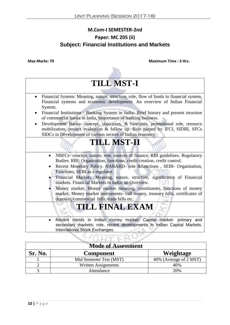## **M.Com-I SEMESTER-2nd Paper: MC 205 (ii) Subject: Financial Institutions and Markets**



|         | <b>Mode of Assessment</b>  |                        |
|---------|----------------------------|------------------------|
| Sr. No. | <b>Component</b>           | Weightage              |
|         | Mid Semester Test (MST)    | 40% (Average of 2 MST) |
|         | <b>Written Assignments</b> | 40%                    |
|         | Attendance                 | 20%                    |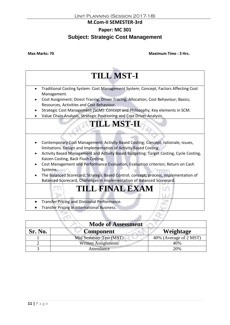#### **M.Com-II SEMESTER-3rd**

## **Paper: MC 301**

### **Subject: Strategic Cost Management**

**Max Marks: 70 Maximum Time : 3 Hrs.**

# **TILL MST-I**

- Traditional Costing System: Cost Management System; Concept, Factors Affecting Cost Management.
- Cost Assignment; Direct Tracing, Driver Tracing, Allocation, Cost Behaviour; Basics; Resources, Activities and Cost Behaviour.
- Strategic Cost Management (SCM): Concept and Philosophy, Key elements in SCM.
- Value Chain Analysis, Strategic Positioning and Cost Driver Analysis.

## **TILL MST-II**

- Contemporary Cost Management: Activity Based Costing; Concept, rationale, issues, limitations. Design and Implementation of Activity Based Costing.
- Activity Based Management and Activity Based Budgeting: Target Costing, Cycle Costing, Kaizen Costing, Back Flush Costing.
- Cost Management and Performance Evaluation, Evaluation criterion; Return on Cash Systems.
- The Balanced Scorecard; Strategic Based Control; concept, process, implementation of Balanced Scorecard, Challenges in implementation of Balanced Scorecard.

## **TILL FINAL EXAM**

- **•** Transfer Pricing and Divisional Performance.
- Transfer Pricing in International Business.

m.

C POS

| <b>Mode of Assessment</b> |                            |                        |
|---------------------------|----------------------------|------------------------|
| Sr. No.                   | <b>Component</b>           | Weightage              |
|                           | Mid Semester Test (MST)    | 40% (Average of 2 MST) |
|                           | <b>Written Assignments</b> | 40%                    |
|                           | Attendance                 | 20%                    |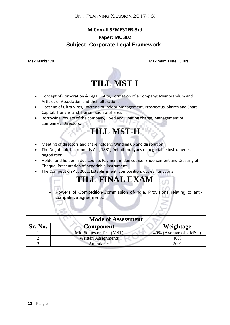## **M.Com-II SEMESTER-3rd Paper: MC 302 Subject: Corporate Legal Framework**

**Max Marks: 70 Maximum Time : 3 Hrs.**



competitive agreements.

| <b>Mode of Assessment</b> |                            |                        |
|---------------------------|----------------------------|------------------------|
| Sr. No.                   | Component                  | Weightage              |
|                           | Mid Semester Test (MST)    | 40% (Average of 2 MST) |
|                           | <b>Written Assignments</b> | 40%                    |
|                           | Attendance                 | 20%                    |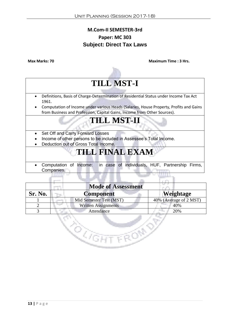## **M.Com-II SEMESTER-3rd Paper: MC 303 Subject: Direct Tax Laws**

**Max Marks: 70 Maximum Time : 3 Hrs.**

# **TILL MST-I**

- Definitions, Basis of Charge-Determination of Residential Status under Income Tax Act 1961.
- Computation of Income under various Heads (Salaries, House Property, Profits and Gains from Business and Profession, Capital Gains, Income from Other Sources).

## **TILL MST-II**

- Set Off and Carry Forward Losses
- Income of other persons to be included in Assessee's Total Income.
- Deduction out of Gross Total Income.

en<br>Kana

## **TILL FINAL EXAM**

 Computation of Income: in case of individuals, HUF, Partnership Firms, Companies.

|         | <b>Mode of Assessment</b>  |                        |
|---------|----------------------------|------------------------|
| Sr. No. | <b>Component</b>           | Weightage              |
|         | Mid Semester Test (MST)    | 40% (Average of 2 MST) |
|         | <b>Written Assignments</b> | 40%                    |
|         | Attendance                 | 20%                    |

**HTTEON**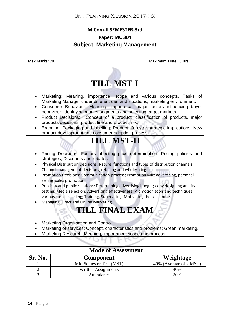## **M.Com-II SEMESTER-3rd Paper: MC 304 Subject: Marketing Management**



| <b>Mode of Assessment</b> |                         |                        |  |
|---------------------------|-------------------------|------------------------|--|
| Sr. No.                   | <b>Component</b>        | Weightage              |  |
|                           | Mid Semester Test (MST) | 40% (Average of 2 MST) |  |
|                           | Written Assignments     | 40%                    |  |
|                           | Attendance              | 20%                    |  |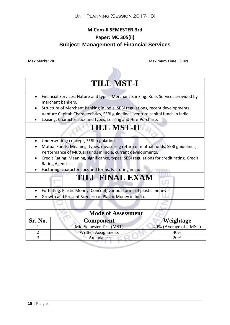## **M.Com-II SEMESTER-3rd Paper: MC 305(ii) Subject: Management of Financial Services**



- Forfeiting. Plastic Money: Concept, various forms of plastic money.
- Growth and Present Scenario of Plastic Money in India.

| <b>Mode of Assessment</b> |                            |                        |
|---------------------------|----------------------------|------------------------|
| Sr. No.                   | <b>Component</b>           | <b>Weightage</b>       |
|                           | Mid Semester Test (MST)    | 40% (Average of 2 MST) |
|                           | <b>Written Assignments</b> | 40%                    |
|                           | Attendance                 | 20%                    |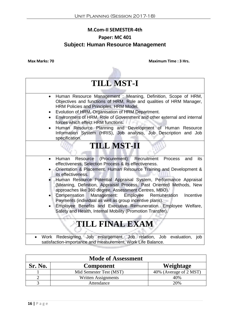## **M.Com-II SEMESTER-4th Paper: MC 401 Subject: Human Resource Management**



| <b>Mode of Assessment</b> |                         |                        |
|---------------------------|-------------------------|------------------------|
| <b>Sr. No.</b>            | <b>Component</b>        | Weightage              |
|                           | Mid Semester Test (MST) | 40% (Average of 2 MST) |
|                           | Written Assignments     | 40%                    |
|                           | Attendance              | 20%                    |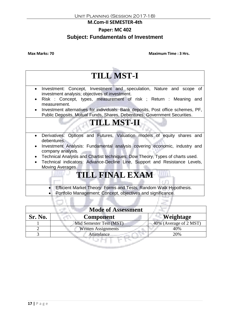#### **M.Com-II SEMESTER-4th**

### **Paper: MC 402**

### **Subject: Fundamentals of Investment**

**Max Marks: 70 Maximum Time : 3 Hrs.**



**Efficient Market Theory: Forms and Tests, Random Walk Hypothesis.** Portfolio Management; Concept, objectives and significance.

| <b>Mode of Assessment</b> |                            |                        |
|---------------------------|----------------------------|------------------------|
| Sr. No.                   | <b>Component</b>           | Weightage              |
|                           | Mid Semester Test (MST)    | 40% (Average of 2 MST) |
|                           | <b>Written Assignments</b> | 40%                    |
|                           | Attendance                 | 20%                    |
|                           |                            |                        |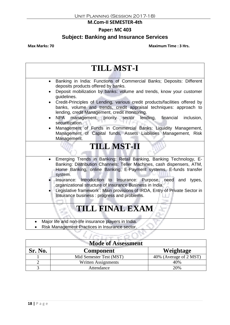#### **M.Com-II SEMESTER-4th**

### **Paper: MC 403**

## **Subject: Banking and Insurance Services**

| <b>TILL MST-I</b>                                                                                                                                                                                                            |  |  |
|------------------------------------------------------------------------------------------------------------------------------------------------------------------------------------------------------------------------------|--|--|
| Banking in India: Functions of Commercial Banks; Deposits: Different<br>deposits products offered by banks.                                                                                                                  |  |  |
| Deposit mobilization by banks: volume and trends, know your customer<br>guidelines.                                                                                                                                          |  |  |
| Credit-Principles of Lending, various credit products/facilities offered by<br>banks, volume and trends, credit appraisal techniques: approach to<br>lending, credit Management, credit monitoring.                          |  |  |
| NPA management, priority sector<br>lending,<br>inclusion,<br>financial<br>securitization.                                                                                                                                    |  |  |
| Management of Funds in Commercial Banks: Liquidity Management,<br>Management of Capital funds, Assets Liabilities Management, Risk<br>Management.                                                                            |  |  |
| <b>TILL MST-II</b>                                                                                                                                                                                                           |  |  |
| Emerging Trends in Banking: Retail Banking, Banking Technology, E-<br>Banking: Distribution Channels: Teller Machines, cash dispensers, ATM,<br>Home Banking, online Banking, E-Payment systems, E-funds transfer<br>system. |  |  |
| Insurance: Introduction to Insurance: Purpose, need and types,<br>organizational structure of Insurance Business in India.                                                                                                   |  |  |
| Legislative framework : Main provisions of IRDA, Entry of Private Sector in<br>Insurance business: progress and problems.                                                                                                    |  |  |
| <b>TILL FINAL EXAM</b>                                                                                                                                                                                                       |  |  |
| Major life and non-life insurance players in India.                                                                                                                                                                          |  |  |
| Risk Management Practices in Insurance sector.                                                                                                                                                                               |  |  |
|                                                                                                                                                                                                                              |  |  |

| <b>Mode of Assessment</b> |                         |                        |
|---------------------------|-------------------------|------------------------|
| Sr. No.                   | <b>Component</b>        | Weightage              |
|                           | Mid Semester Test (MST) | 40% (Average of 2 MST) |
|                           | Written Assignments     | 40%                    |
|                           | Attendance              | 20%                    |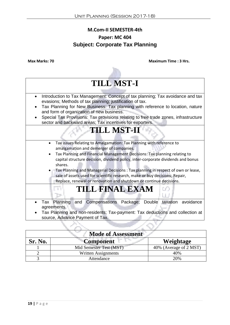## **M.Com-II SEMESTER-4th Paper: MC 404 Subject: Corporate Tax Planning**



| <b>Mode of Assessment</b> |                            |                        |
|---------------------------|----------------------------|------------------------|
| <b>Sr. No.</b>            | <b>Component</b>           | Weightage              |
|                           | Mid Semester Test (MST)    | 40% (Average of 2 MST) |
|                           | <b>Written Assignments</b> | 40%                    |
|                           | Attendance                 | 20%                    |